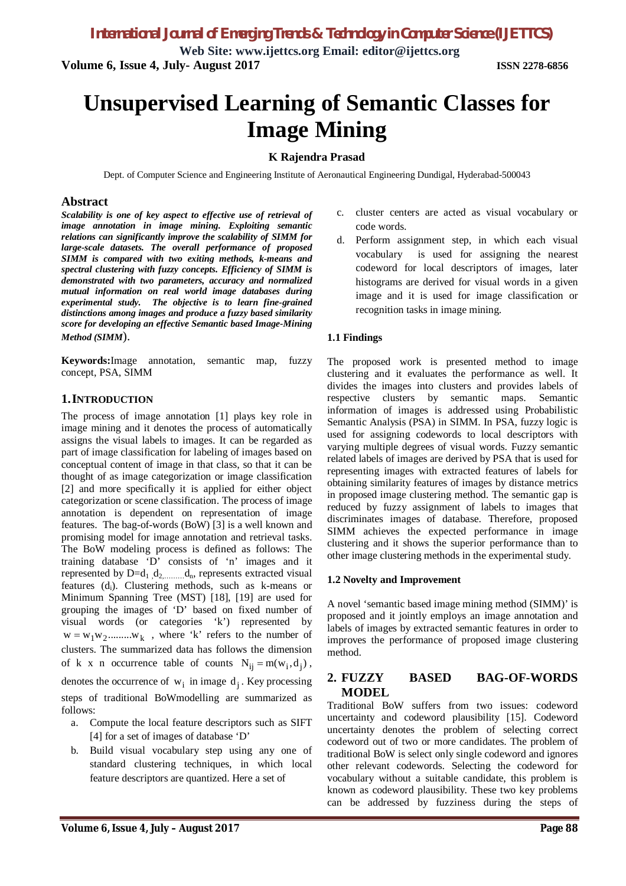*International Journal of Emerging Trends & Technology in Computer Science (IJETTCS)*

**Web Site: www.ijettcs.org Email: editor@ijettcs.org Volume 6, Issue 4, July- August 2017 ISSN 2278-6856**

# **Unsupervised Learning of Semantic Classes for Image Mining**

### **K Rajendra Prasad**

Dept. of Computer Science and Engineering Institute of Aeronautical Engineering Dundigal, Hyderabad-500043

### **Abstract**

*Scalability is one of key aspect to effective use of retrieval of image annotation in image mining. Exploiting semantic relations can significantly improve the scalability of SIMM for large-scale datasets. The overall performance of proposed SIMM is compared with two exiting methods, k-means and spectral clustering with fuzzy concepts. Efficiency of SIMM is demonstrated with two parameters, accuracy and normalized mutual information on real world image databases during experimental study. The objective is to learn fine-grained distinctions among images and produce a fuzzy based similarity score for developing an effective Semantic based Image-Mining Method (SIMM*).

**Keywords:**Image annotation, semantic map, fuzzy concept, PSA, SIMM

### **1.INTRODUCTION**

The process of image annotation [1] plays key role in image mining and it denotes the process of automatically assigns the visual labels to images. It can be regarded as part of image classification for labeling of images based on conceptual content of image in that class, so that it can be thought of as image categorization or image classification [2] and more specifically it is applied for either object categorization or scene classification. The process of image annotation is dependent on representation of image features. The bag-of-words (BoW) [3] is a well known and promising model for image annotation and retrieval tasks. The BoW modeling process is defined as follows: The training database 'D' consists of 'n' images and it represented by  $D=d_1, d_2, \ldots, d_n$ , represents extracted visual features (di). Clustering methods, such as k-means or Minimum Spanning Tree (MST) [18], [19] are used for grouping the images of 'D' based on fixed number of visual words (or categories 'k') represented by  $w = w_1 w_2 \dots w_k$ , where 'k' refers to the number of clusters. The summarized data has follows the dimension of k x n occurrence table of counts  $N_{ii} = m(w_i, d_i)$ , denotes the occurrence of  $w_i$  in image  $d_j$ . Key processing steps of traditional BoWmodelling are summarized as follows:

- a. Compute the local feature descriptors such as SIFT [4] for a set of images of database 'D'
- b. Build visual vocabulary step using any one of standard clustering techniques, in which local feature descriptors are quantized. Here a set of
- c. cluster centers are acted as visual vocabulary or code words.
- d. Perform assignment step, in which each visual vocabulary is used for assigning the nearest codeword for local descriptors of images, later histograms are derived for visual words in a given image and it is used for image classification or recognition tasks in image mining.

#### **1.1 Findings**

The proposed work is presented method to image clustering and it evaluates the performance as well. It divides the images into clusters and provides labels of respective clusters by semantic maps. Semantic information of images is addressed using Probabilistic Semantic Analysis (PSA) in SIMM. In PSA, fuzzy logic is used for assigning codewords to local descriptors with varying multiple degrees of visual words. Fuzzy semantic related labels of images are derived by PSA that is used for representing images with extracted features of labels for obtaining similarity features of images by distance metrics in proposed image clustering method. The semantic gap is reduced by fuzzy assignment of labels to images that discriminates images of database. Therefore, proposed SIMM achieves the expected performance in image clustering and it shows the superior performance than to other image clustering methods in the experimental study.

#### **1.2 Novelty and Improvement**

A novel 'semantic based image mining method (SIMM)' is proposed and it jointly employs an image annotation and labels of images by extracted semantic features in order to improves the performance of proposed image clustering method.

#### **2. FUZZY BASED BAG-OF-WORDS MODEL**

Traditional BoW suffers from two issues: codeword uncertainty and codeword plausibility [15]. Codeword uncertainty denotes the problem of selecting correct codeword out of two or more candidates. The problem of traditional BoW is select only single codeword and ignores other relevant codewords. Selecting the codeword for vocabulary without a suitable candidate, this problem is known as codeword plausibility. These two key problems can be addressed by fuzziness during the steps of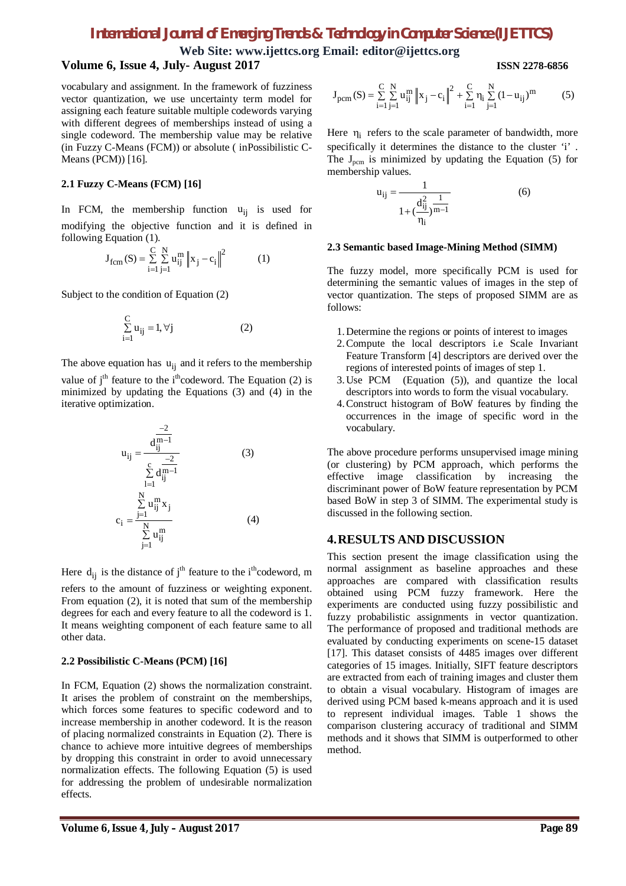### *International Journal of Emerging Trends & Technology in Computer Science (IJETTCS)*

**Web Site: www.ijettcs.org Email: editor@ijettcs.org Volume 6, Issue 4, July- August 2017 ISSN 2278-6856**

vocabulary and assignment. In the framework of fuzziness vector quantization, we use uncertainty term model for assigning each feature suitable multiple codewords varying with different degrees of memberships instead of using a single codeword. The membership value may be relative (in Fuzzy C-Means (FCM)) or absolute ( inPossibilistic C-Means (PCM)) [16].

#### **2.1 Fuzzy C-Means (FCM) [16]**

In FCM, the membership function  $u_{ii}$  is used for modifying the objective function and it is defined in following Equation (1).

$$
J_{fcm}(S) = \sum_{i=1}^{C} \sum_{j=1}^{N} u_{ij}^{m} \|x_j - c_i\|^2
$$
 (1)

Subject to the condition of Equation (2)

$$
\sum_{i=1}^{C} u_{ij} = 1, \forall j
$$
 (2)

The above equation has  $u_{ii}$  and it refers to the membership

value of j<sup>th</sup> feature to the i<sup>th</sup>codeword. The Equation (2) is minimized by updating the Equations (3) and (4) in the iterative optimization.

$$
u_{ij} = \frac{d_{ij}^{\frac{-2}{m-1}}}{\sum_{l=1}^{c} d_{ij}^{\frac{-2}{m-1}}} \qquad (3)
$$
  

$$
c_{i} = \frac{\sum_{j=1}^{N} u_{ij}^{\frac{m}{m}} x_{j}}{\sum_{j=1}^{N} u_{ij}^{\frac{m}{m}}} \qquad (4)
$$

Here  $d_{ii}$  is the distance of j<sup>th</sup> feature to the i<sup>th</sup>codeword, m refers to the amount of fuzziness or weighting exponent. From equation (2), it is noted that sum of the membership degrees for each and every feature to all the codeword is 1. It means weighting component of each feature same to all other data.

#### **2.2 Possibilistic C-Means (PCM) [16]**

In FCM, Equation (2) shows the normalization constraint. It arises the problem of constraint on the memberships, which forces some features to specific codeword and to increase membership in another codeword. It is the reason of placing normalized constraints in Equation (2). There is chance to achieve more intuitive degrees of memberships by dropping this constraint in order to avoid unnecessary normalization effects. The following Equation (5) is used for addressing the problem of undesirable normalization effects.

$$
J_{\text{perm}}(S) = \sum_{i=1}^{C} \sum_{j=1}^{N} u_{ij}^{m} \|x_j - c_i\|^2 + \sum_{i=1}^{C} \eta_i \sum_{j=1}^{N} (1 - u_{ij})^{m}
$$
(5)

Here  $\eta_i$  refers to the scale parameter of bandwidth, more specifically it determines the distance to the cluster 'i' . The  $J_{\text{perm}}$  is minimized by updating the Equation (5) for membership values.

$$
u_{ij} = \frac{1}{1 + (\frac{d_{ij}^2}{\eta_i})^{\frac{1}{m-1}}}
$$
(6)

#### **2.3 Semantic based Image-Mining Method (SIMM)**

The fuzzy model, more specifically PCM is used for determining the semantic values of images in the step of vector quantization. The steps of proposed SIMM are as follows:

- 1.Determine the regions or points of interest to images
- 2.Compute the local descriptors i.e Scale Invariant Feature Transform [4] descriptors are derived over the regions of interested points of images of step 1.
- 3.Use PCM (Equation (5)), and quantize the local descriptors into words to form the visual vocabulary.
- 4.Construct histogram of BoW features by finding the occurrences in the image of specific word in the vocabulary.

The above procedure performs unsupervised image mining (or clustering) by PCM approach, which performs the effective image classification by increasing the discriminant power of BoW feature representation by PCM based BoW in step 3 of SIMM. The experimental study is discussed in the following section.

#### **4.RESULTS AND DISCUSSION**

This section present the image classification using the normal assignment as baseline approaches and these approaches are compared with classification results obtained using PCM fuzzy framework. Here the experiments are conducted using fuzzy possibilistic and fuzzy probabilistic assignments in vector quantization. The performance of proposed and traditional methods are evaluated by conducting experiments on scene-15 dataset [17]. This dataset consists of 4485 images over different categories of 15 images. Initially, SIFT feature descriptors are extracted from each of training images and cluster them to obtain a visual vocabulary. Histogram of images are derived using PCM based k-means approach and it is used to represent individual images. Table 1 shows the comparison clustering accuracy of traditional and SIMM methods and it shows that SIMM is outperformed to other method.